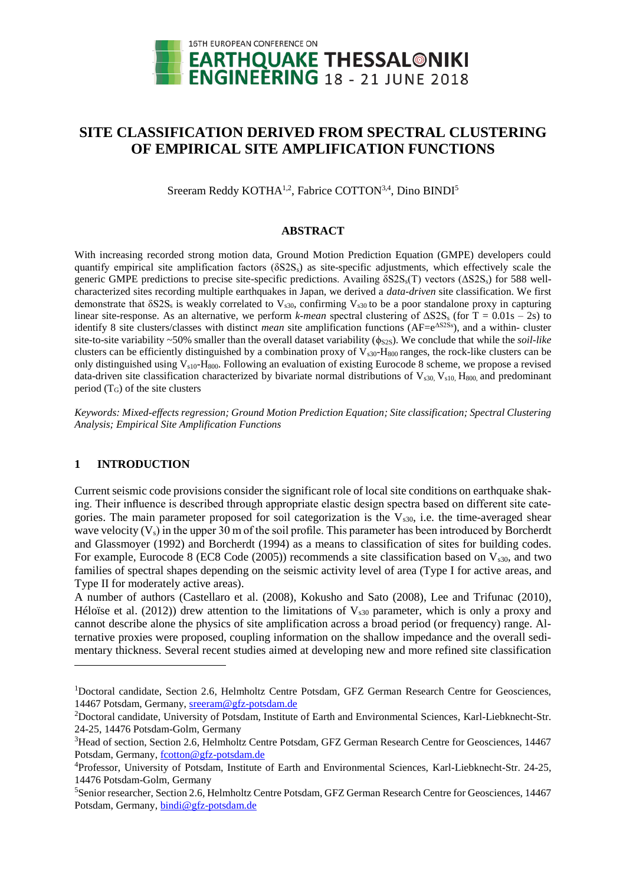

# **SITE CLASSIFICATION DERIVED FROM SPECTRAL CLUSTERING OF EMPIRICAL SITE AMPLIFICATION FUNCTIONS**

Sreeram Reddy KOTHA<sup>1,2</sup>, Fabrice COTTON<sup>3,4</sup>, Dino BINDI<sup>5</sup>

#### **ABSTRACT**

With increasing recorded strong motion data, Ground Motion Prediction Equation (GMPE) developers could quantify empirical site amplification factors  $(\delta S2S_s)$  as site-specific adjustments, which effectively scale the generic GMPE predictions to precise site-specific predictions. Availing  $\delta$ S2S<sub>s</sub>(T) vectors (ΔS2S<sub>s</sub>) for 588 wellcharacterized sites recording multiple earthquakes in Japan, we derived a *data-driven* site classification. We first demonstrate that  $\delta$ S2S<sub>s</sub> is weakly correlated to V<sub>s30</sub>, confirming V<sub>s30</sub> to be a poor standalone proxy in capturing linear site-response. As an alternative, we perform *k-mean* spectral clustering of ΔS2S<sup>s</sup> (for T = 0.01s – 2s) to identify 8 site clusters/classes with distinct *mean* site amplification functions (AF=e<sup>AS2Ss</sup>), and a within- cluster site-to-site variability ~50% smaller than the overall dataset variability ( $\phi_{S2S}$ ). We conclude that while the *soil-like* clusters can be efficiently distinguished by a combination proxy of  $V_{s30}$ -H<sub>800</sub> ranges, the rock-like clusters can be only distinguished using  $V_{s10}$ -H<sub>800</sub>. Following an evaluation of existing Eurocode 8 scheme, we propose a revised data-driven site classification characterized by bivariate normal distributions of  $V_{s30}$ ,  $V_{s10}$ ,  $H_{800}$  and predominant period  $(T_G)$  of the site clusters

*Keywords: Mixed-effects regression; Ground Motion Prediction Equation; Site classification; Spectral Clustering Analysis; Empirical Site Amplification Functions*

### **1 INTRODUCTION**

l

Current seismic code provisions consider the significant role of local site conditions on earthquake shaking. Their influence is described through appropriate elastic design spectra based on different site categories. The main parameter proposed for soil categorization is the  $V<sub>s30</sub>$ , i.e. the time-averaged shear wave velocity  $(V_s)$  in the upper 30 m of the soil profile. This parameter has been introduced by Borcherdt and Glassmoyer (1992) and Borcherdt (1994) as a means to classification of sites for building codes. For example, Eurocode 8 (EC8 Code (2005)) recommends a site classification based on  $V_{s30}$ , and two families of spectral shapes depending on the seismic activity level of area (Type I for active areas, and Type II for moderately active areas).

A number of authors (Castellaro et al. (2008), Kokusho and Sato (2008), Lee and Trifunac (2010), Héloïse et al. (2012)) drew attention to the limitations of  $V_{s30}$  parameter, which is only a proxy and cannot describe alone the physics of site amplification across a broad period (or frequency) range. Alternative proxies were proposed, coupling information on the shallow impedance and the overall sedimentary thickness. Several recent studies aimed at developing new and more refined site classification

<sup>&</sup>lt;sup>1</sup>Doctoral candidate, Section 2.6, Helmholtz Centre Potsdam, GFZ German Research Centre for Geosciences, 14467 Potsdam, Germany, [sreeram@gfz-potsdam.de](mailto:sreeram@gfz-potsdam.de)

<sup>2</sup>Doctoral candidate, University of Potsdam, Institute of Earth and Environmental Sciences, Karl-Liebknecht-Str. 24-25, 14476 Potsdam-Golm, Germany

<sup>&</sup>lt;sup>3</sup>Head of section, Section 2.6, Helmholtz Centre Potsdam, GFZ German Research Centre for Geosciences, 14467 Potsdam, Germany, [fcotton@g](mailto:emailaddress@canterbury.ac.nz)fz-potsdam.de

<sup>4</sup>Professor, University of Potsdam, Institute of Earth and Environmental Sciences, Karl-Liebknecht-Str. 24-25, 14476 Potsdam-Golm, Germany

<sup>5</sup>Senior researcher, Section 2.6, Helmholtz Centre Potsdam, GFZ German Research Centre for Geosciences, 14467 Potsdam, Germany, [bindi@g](mailto:bindi@)fz-potsdam.de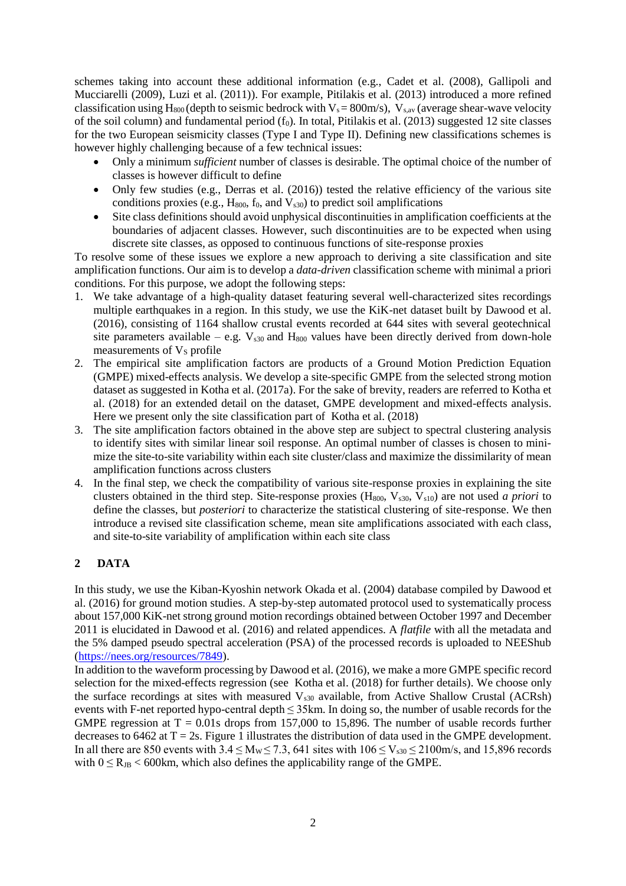schemes taking into account these additional information (e.g., Cadet et al. (2008), Gallipoli and Mucciarelli (2009), Luzi et al. (2011)). For example, Pitilakis et al. (2013) introduced a more refined classification using H<sub>800</sub> (depth to seismic bedrock with  $V_s = 800$ m/s),  $V_{s,av}$  (average shear-wave velocity of the soil column) and fundamental period  $(f_0)$ . In total, Pitilakis et al. (2013) suggested 12 site classes for the two European seismicity classes (Type I and Type II). Defining new classifications schemes is however highly challenging because of a few technical issues:

- Only a minimum *sufficient* number of classes is desirable. The optimal choice of the number of classes is however difficult to define
- Only few studies (e.g., Derras et al. (2016)) tested the relative efficiency of the various site conditions proxies (e.g.,  $H_{800}$ ,  $f_0$ , and  $V_{s30}$ ) to predict soil amplifications
- Site class definitions should avoid unphysical discontinuities in amplification coefficients at the boundaries of adjacent classes. However, such discontinuities are to be expected when using discrete site classes, as opposed to continuous functions of site-response proxies

To resolve some of these issues we explore a new approach to deriving a site classification and site amplification functions. Our aim is to develop a *data-driven* classification scheme with minimal a priori conditions. For this purpose, we adopt the following steps:

- 1. We take advantage of a high-quality dataset featuring several well-characterized sites recordings multiple earthquakes in a region. In this study, we use the KiK-net dataset built by Dawood et al. (2016), consisting of 1164 shallow crustal events recorded at 644 sites with several geotechnical site parameters available – e.g.  $V_{s30}$  and  $H_{800}$  values have been directly derived from down-hole measurements of  $V<sub>S</sub>$  profile
- 2. The empirical site amplification factors are products of a Ground Motion Prediction Equation (GMPE) mixed-effects analysis. We develop a site-specific GMPE from the selected strong motion dataset as suggested in Kotha et al. (2017a). For the sake of brevity, readers are referred to Kotha et al. (2018) for an extended detail on the dataset, GMPE development and mixed-effects analysis. Here we present only the site classification part of Kotha et al. (2018)
- 3. The site amplification factors obtained in the above step are subject to spectral clustering analysis to identify sites with similar linear soil response. An optimal number of classes is chosen to minimize the site-to-site variability within each site cluster/class and maximize the dissimilarity of mean amplification functions across clusters
- 4. In the final step, we check the compatibility of various site-response proxies in explaining the site clusters obtained in the third step. Site-response proxies (H<sub>800</sub>, V<sub>s30</sub>, V<sub>s10</sub>) are not used *a priori* to define the classes, but *posteriori* to characterize the statistical clustering of site-response. We then introduce a revised site classification scheme, mean site amplifications associated with each class, and site-to-site variability of amplification within each site class

## **2 DATA**

In this study, we use the Kiban-Kyoshin network Okada et al. (2004) database compiled by Dawood et al. (2016) for ground motion studies. A step-by-step automated protocol used to systematically process about 157,000 KiK-net strong ground motion recordings obtained between October 1997 and December 2011 is elucidated in Dawood et al. (2016) and related appendices. A *flatfile* with all the metadata and the 5% damped pseudo spectral acceleration (PSA) of the processed records is uploaded to NEEShub [\(https://nees.org/resources/7849\)](https://nees.org/resources/7849).

In addition to the waveform processing by Dawood et al. (2016), we make a more GMPE specific record selection for the mixed-effects regression (see Kotha et al. (2018) for further details). We choose only the surface recordings at sites with measured  $V_{s30}$  available, from Active Shallow Crustal (ACRsh) events with F-net reported hypo-central depth ≤ 35km. In doing so, the number of usable records for the GMPE regression at  $T = 0.01$ s drops from 157,000 to 15,896. The number of usable records further decreases to 6462 at  $T = 2s$ . [Figure 1](#page-2-0) illustrates the distribution of data used in the GMPE development. In all there are 850 events with  $3.4 \le M_W \le 7.3$ , 641 sites with  $106 \le V_{s30} \le 2100$  m/s, and 15,896 records with  $0 \le R_{JB} < 600$ km, which also defines the applicability range of the GMPE.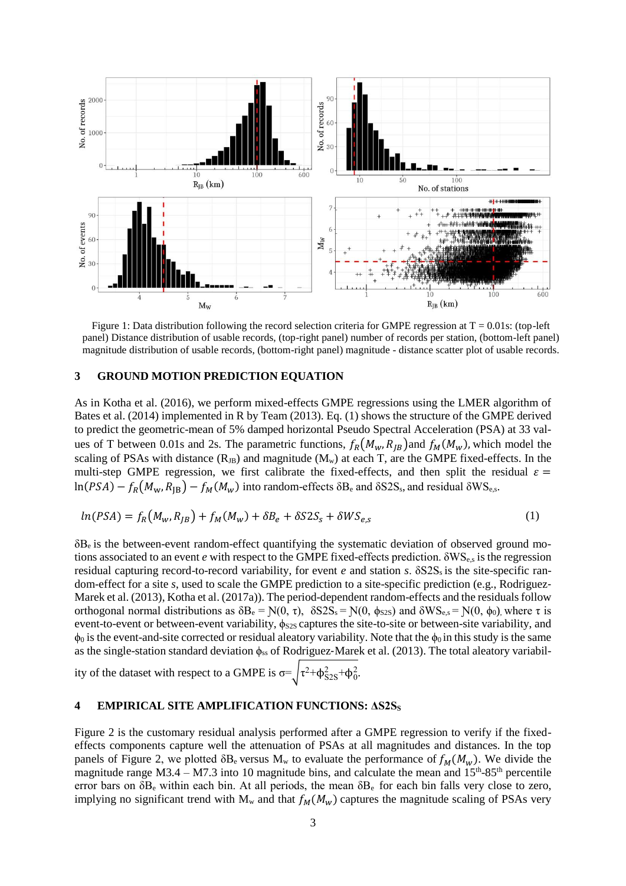

<span id="page-2-0"></span>Figure 1: Data distribution following the record selection criteria for GMPE regression at  $T = 0.01$ s: (top-left panel) Distance distribution of usable records, (top-right panel) number of records per station, (bottom-left panel) magnitude distribution of usable records, (bottom-right panel) magnitude - distance scatter plot of usable records.

### **3 GROUND MOTION PREDICTION EQUATION**

As in Kotha et al. (2016), we perform mixed-effects GMPE regressions using the LMER algorithm of Bates et al. (2014) implemented in R by Team (2013). Eq. (1) shows the structure of the GMPE derived to predict the geometric-mean of 5% damped horizontal Pseudo Spectral Acceleration (PSA) at 33 values of T between 0.01s and 2s. The parametric functions,  $f_R(M_w, R_{IB})$  and  $f_M(M_w)$ , which model the scaling of PSAs with distance  $(R_{JB})$  and magnitude  $(M_w)$  at each T, are the GMPE fixed-effects. In the multi-step GMPE regression, we first calibrate the fixed-effects, and then split the residual  $\varepsilon$  =  $\ln(PSA) - f_R(M_w,R_{\text{IB}}) - f_M(M_w)$  into random-effects  $\delta B_e$  and  $\delta S2S_s$ , and residual  $\delta WS_{e,s}$ .

$$
ln(PSA) = f_R(M_w, R_{JB}) + f_M(M_w) + \delta B_e + \delta S 2S_s + \delta W S_{e,s}
$$
\n<sup>(1)</sup>

δBe is the between-event random-effect quantifying the systematic deviation of observed ground motions associated to an event *e* with respect to the GMPE fixed-effects prediction. δWSe,s is the regression residual capturing record-to-record variability, for event *e* and station *s*. δS2S<sub>s</sub> is the site-specific random-effect for a site *s*, used to scale the GMPE prediction to a site-specific prediction (e.g., Rodriguez-Marek et al. (2013), Kotha et al. (2017a)). The period-dependent random-effects and the residuals follow orthogonal normal distributions as  $\delta B_e = N(0, \tau)$ ,  $\delta S2S_s = N(0, \phi_{S2S})$  and  $\delta WS_{e,s} = N(0, \phi_0)$ , where τ is event-to-event or between-event variability,  $\phi_{S2S}$  captures the site-to-site or between-site variability, and  $\phi_0$  is the event-and-site corrected or residual aleatory variability. Note that the  $\phi_0$  in this study is the same as the single-station standard deviation  $φ_{ss}$  of Rodriguez-Marek et al. (2013). The total aleatory variabil-

ity of the dataset with respect to a GMPE is  $\sigma = \sqrt{\tau^2 + \phi_{S2S}^2 + \phi_0^2}$ .

#### **4 EMPIRICAL SITE AMPLIFICATION FUNCTIONS: ΔS2S<sup>S</sup>**

[Figure 2](#page-3-0) is the customary residual analysis performed after a GMPE regression to verify if the fixedeffects components capture well the attenuation of PSAs at all magnitudes and distances. In the top panels of [Figure 2,](#page-3-0) we plotted  $\delta B_e$  versus  $M_w$  to evaluate the performance of  $f_M(M_w)$ . We divide the magnitude range  $M3.4 - M7.3$  into 10 magnitude bins, and calculate the mean and  $15<sup>th</sup>$ -85<sup>th</sup> percentile error bars on  $\delta B_e$  within each bin. At all periods, the mean  $\delta B_e$  for each bin falls very close to zero, implying no significant trend with  $M_w$  and that  $f_M(M_w)$  captures the magnitude scaling of PSAs very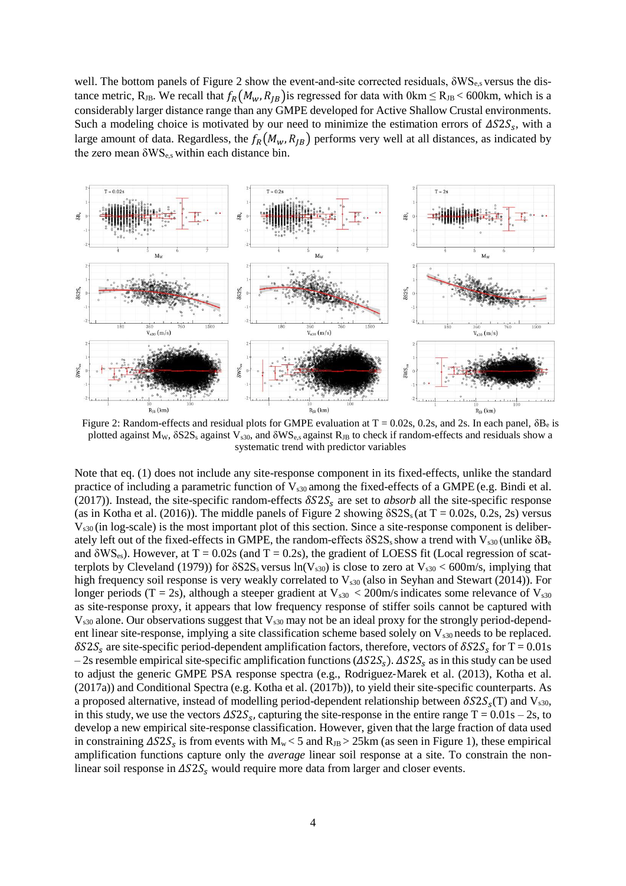well. The bottom panels of [Figure 2](#page-3-0) show the event-and-site corrected residuals, δWSe,s versus the distance metric, R<sub>JB</sub>. We recall that  $f_R(M_w, R_{JB})$  is regressed for data with 0km  $\leq$  R<sub>JB</sub> < 600km, which is a considerably larger distance range than any GMPE developed for Active Shallow Crustal environments. Such a modeling choice is motivated by our need to minimize the estimation errors of  $\Delta S2S_s$ , with a large amount of data. Regardless, the  $f_R(M_w, R_{IB})$  performs very well at all distances, as indicated by the zero mean  $\delta WS_{e,s}$  within each distance bin.



<span id="page-3-0"></span>Figure 2: Random-effects and residual plots for GMPE evaluation at  $T = 0.02$ s, 0.2s, and 2s. In each panel,  $\delta B_e$  is plotted against M<sub>W</sub>,  $\delta$ S2S<sub>s</sub> against V<sub>s30</sub>, and  $\delta$ WS<sub>e,s</sub> against R<sub>JB</sub> to check if random-effects and residuals show a systematic trend with predictor variables

Note that eq. (1) does not include any site-response component in its fixed-effects, unlike the standard practice of including a parametric function of  $V_{s30}$  among the fixed-effects of a GMPE (e.g. Bindi et al. (2017)). Instead, the site-specific random-effects  $\delta S2S_s$  are set to *absorb* all the site-specific response (as in Kotha et al. (2016)). The middle panels of [Figure 2](#page-3-0) showing  $\delta$ S2S<sub>s</sub> (at T = 0.02s, 0.2s, 2s) versus Vs30 (in log-scale) is the most important plot of this section. Since a site-response component is deliberately left out of the fixed-effects in GMPE, the random-effects  $\delta S2S_s$  show a trend with  $V_{s30}$  (unlike  $\delta B_e$ and  $\delta$ WS<sub>es</sub>). However, at T = 0.02s (and T = 0.2s), the gradient of LOESS fit (Local regression of scatterplots by Cleveland (1979)) for  $\delta$ S2S<sub>s</sub> versus ln(V<sub>s30</sub>) is close to zero at V<sub>s30</sub> < 600m/s, implying that high frequency soil response is very weakly correlated to  $V_{s30}$  (also in Seyhan and Stewart (2014)). For longer periods (T = 2s), although a steeper gradient at  $V_{s30}$  < 200m/s indicates some relevance of  $V_{s30}$ as site-response proxy, it appears that low frequency response of stiffer soils cannot be captured with  $V<sub>s30</sub>$  alone. Our observations suggest that  $V<sub>s30</sub>$  may not be an ideal proxy for the strongly period-dependent linear site-response, implying a site classification scheme based solely on  $V_{s30}$  needs to be replaced.  $\delta S2S_s$  are site-specific period-dependent amplification factors, therefore, vectors of  $\delta S2S_s$  for T = 0.01s – 2s resemble empirical site-specific amplification functions ( $\Delta S2S_s$ ).  $\Delta S2S_s$  as in this study can be used to adjust the generic GMPE PSA response spectra (e.g., Rodriguez-Marek et al. (2013), Kotha et al. (2017a)) and Conditional Spectra (e.g. Kotha et al. (2017b)), to yield their site-specific counterparts. As a proposed alternative, instead of modelling period-dependent relationship between  $\delta S2S<sub>s</sub>(T)$  and  $V<sub>s30</sub>$ , in this study, we use the vectors  $\triangle S2S_s$ , capturing the site-response in the entire range T = 0.01s – 2s, to develop a new empirical site-response classification. However, given that the large fraction of data used in constraining  $\Delta S2S_s$  is from events with  $M_w < 5$  and  $R_{JB} > 25$ km (as seen i[n Figure 1\)](#page-2-0), these empirical amplification functions capture only the *average* linear soil response at a site. To constrain the nonlinear soil response in  $\Delta S2S_s$  would require more data from larger and closer events.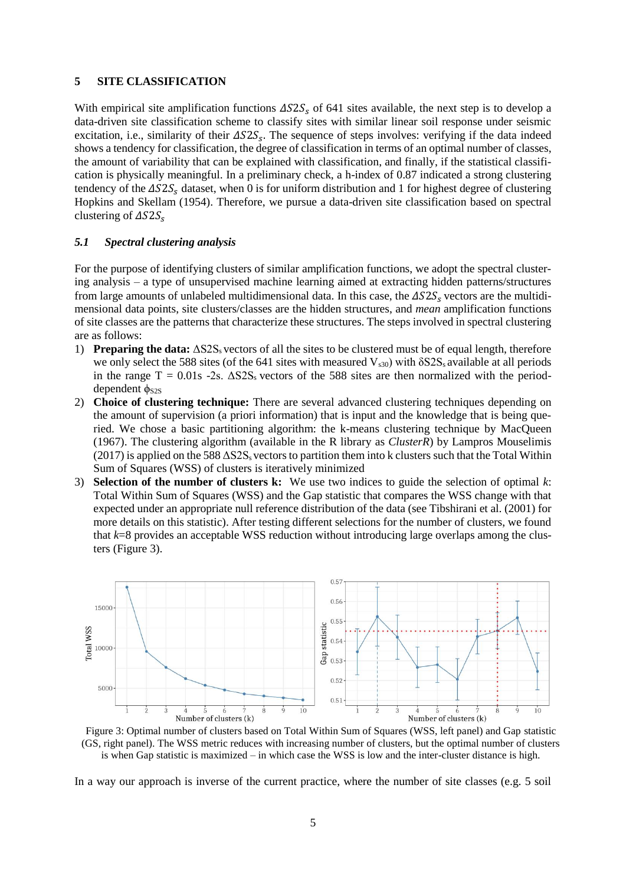#### **5 SITE CLASSIFICATION**

With empirical site amplification functions  $\Delta S2S<sub>s</sub>$  of 641 sites available, the next step is to develop a data-driven site classification scheme to classify sites with similar linear soil response under seismic excitation, i.e., similarity of their  $\Delta S2S<sub>s</sub>$ . The sequence of steps involves: verifying if the data indeed shows a tendency for classification, the degree of classification in terms of an optimal number of classes, the amount of variability that can be explained with classification, and finally, if the statistical classification is physically meaningful. In a preliminary check, a h-index of 0.87 indicated a strong clustering tendency of the  $\Delta S2S_s$  dataset, when 0 is for uniform distribution and 1 for highest degree of clustering Hopkins and Skellam (1954). Therefore, we pursue a data-driven site classification based on spectral clustering of  $\Delta S2S_{s}$ 

#### *5.1 Spectral clustering analysis*

For the purpose of identifying clusters of similar amplification functions, we adopt the spectral clustering analysis – a type of unsupervised machine learning aimed at extracting hidden patterns/structures from large amounts of unlabeled multidimensional data. In this case, the  $\Delta S2S<sub>s</sub>$  vectors are the multidimensional data points, site clusters/classes are the hidden structures, and *mean* amplification functions of site classes are the patterns that characterize these structures. The steps involved in spectral clustering are as follows:

- 1) **Preparing the data:** ΔS2Ss vectors of all the sites to be clustered must be of equal length, therefore we only select the 588 sites (of the 641 sites with measured  $V_{s30}$ ) with  $\delta$ S2S<sub>s</sub> available at all periods in the range  $T = 0.01s$  -2s.  $\Delta$ S2S<sub>s</sub> vectors of the 588 sites are then normalized with the perioddependent  $φ<sub>S2S</sub>$
- 2) **Choice of clustering technique:** There are several advanced clustering techniques depending on the amount of supervision (a priori information) that is input and the knowledge that is being queried. We chose a basic partitioning algorithm: the k-means clustering technique by MacQueen (1967). The clustering algorithm (available in the R library as *ClusterR*) by Lampros Mouselimis (2017) is applied on the 588  $\Delta$ S2S<sub>s</sub> vectors to partition them into k clusters such that the Total Within Sum of Squares (WSS) of clusters is iteratively minimized
- 3) **Selection of the number of clusters k:** We use two indices to guide the selection of optimal *k*: Total Within Sum of Squares (WSS) and the Gap statistic that compares the WSS change with that expected under an appropriate null reference distribution of the data (see Tibshirani et al. (2001) for more details on this statistic). After testing different selections for the number of clusters, we found that *k*=8 provides an acceptable WSS reduction without introducing large overlaps among the clusters [\(Figure 3\)](#page-4-0).



<span id="page-4-0"></span>Figure 3: Optimal number of clusters based on Total Within Sum of Squares (WSS, left panel) and Gap statistic (GS, right panel). The WSS metric reduces with increasing number of clusters, but the optimal number of clusters is when Gap statistic is maximized – in which case the WSS is low and the inter-cluster distance is high.

In a way our approach is inverse of the current practice, where the number of site classes (e.g. 5 soil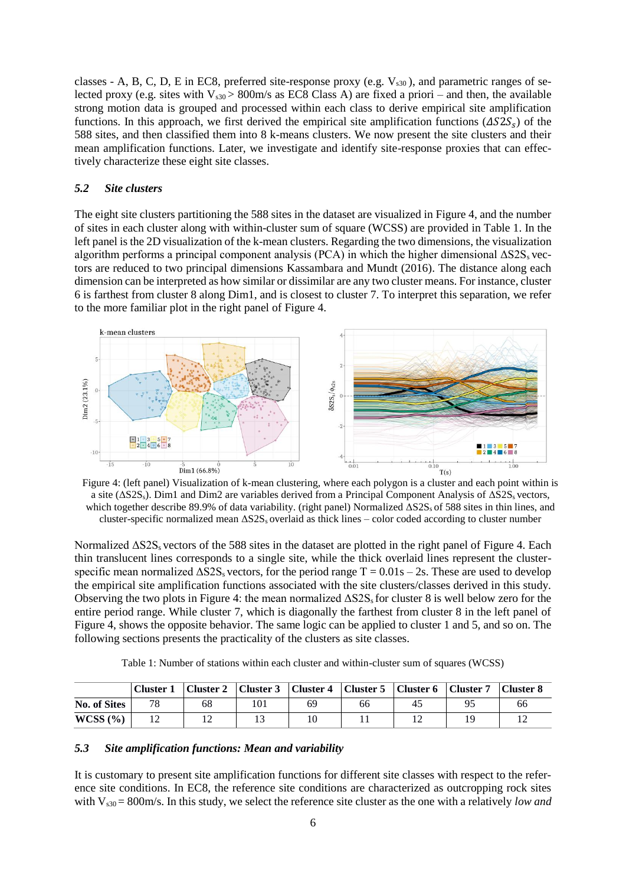classes - A, B, C, D, E in EC8, preferred site-response proxy (e.g.  $V_{s30}$ ), and parametric ranges of selected proxy (e.g. sites with  $V_{s30} > 800$ m/s as EC8 Class A) are fixed a priori – and then, the available strong motion data is grouped and processed within each class to derive empirical site amplification functions. In this approach, we first derived the empirical site amplification functions  $(\Delta S2S<sub>s</sub>)$  of the 588 sites, and then classified them into 8 k-means clusters. We now present the site clusters and their mean amplification functions. Later, we investigate and identify site-response proxies that can effectively characterize these eight site classes.

#### *5.2 Site clusters*

The eight site clusters partitioning the 588 sites in the dataset are visualized in [Figure 4,](#page-5-0) and the number of sites in each cluster along with within-cluster sum of square (WCSS) are provided in [Table 1.](#page-5-1) In the left panel is the 2D visualization of the k-mean clusters. Regarding the two dimensions, the visualization algorithm performs a principal component analysis (PCA) in which the higher dimensional  $\Delta S2S<sub>s</sub>$  vectors are reduced to two principal dimensions Kassambara and Mundt (2016). The distance along each dimension can be interpreted as how similar or dissimilar are any two cluster means. For instance, cluster 6 is farthest from cluster 8 along Dim1, and is closest to cluster 7. To interpret this separation, we refer to the more familiar plot in the right panel of [Figure 4.](#page-5-0)



<span id="page-5-0"></span>Figure 4: (left panel) Visualization of k-mean clustering, where each polygon is a cluster and each point within is a site ( $\Delta$ S2S<sub>s</sub>). Dim1 and Dim2 are variables derived from a Principal Component Analysis of  $\Delta$ S2S<sub>s</sub> vectors, which together describe 89.9% of data variability. (right panel) Normalized  $\Delta S2S<sub>s</sub>$  of 588 sites in thin lines, and cluster-specific normalized mean  $\Delta S2S<sub>s</sub>$  overlaid as thick lines – color coded according to cluster number

Normalized ΔS2Ss vectors of the 588 sites in the dataset are plotted in the right panel of [Figure 4.](#page-5-0) Each thin translucent lines corresponds to a single site, while the thick overlaid lines represent the clusterspecific mean normalized  $\Delta$ S2S<sub>s</sub> vectors, for the period range T = 0.01s – 2s. These are used to develop the empirical site amplification functions associated with the site clusters/classes derived in this study. Observing the two plots in [Figure 4:](#page-5-0) the mean normalized  $\Delta S2S<sub>s</sub>$  for cluster 8 is well below zero for the entire period range. While cluster 7, which is diagonally the farthest from cluster 8 in the left panel of [Figure 4,](#page-5-0) shows the opposite behavior. The same logic can be applied to cluster 1 and 5, and so on. The following sections presents the practicality of the clusters as site classes.

| Table 1: Number of stations within each cluster and within-cluster sum of squares (WCSS) |  |
|------------------------------------------------------------------------------------------|--|
|------------------------------------------------------------------------------------------|--|

<span id="page-5-1"></span>

|              | Cluster 1 |    | Cluster 2   Cluster 3   Cluster 4   Cluster 5   Cluster 6   Cluster 7 |    |    |    |    | Cluster 8 |
|--------------|-----------|----|-----------------------------------------------------------------------|----|----|----|----|-----------|
| No. of Sites | 78        | 68 | 101                                                                   | 69 | 66 | 45 | 95 | 66        |
| WCSS (%)     |           |    |                                                                       |    |    |    | Q  |           |

#### *5.3 Site amplification functions: Mean and variability*

It is customary to present site amplification functions for different site classes with respect to the reference site conditions. In EC8, the reference site conditions are characterized as outcropping rock sites with V<sub>s30</sub> = 800m/s. In this study, we select the reference site cluster as the one with a relatively *low and*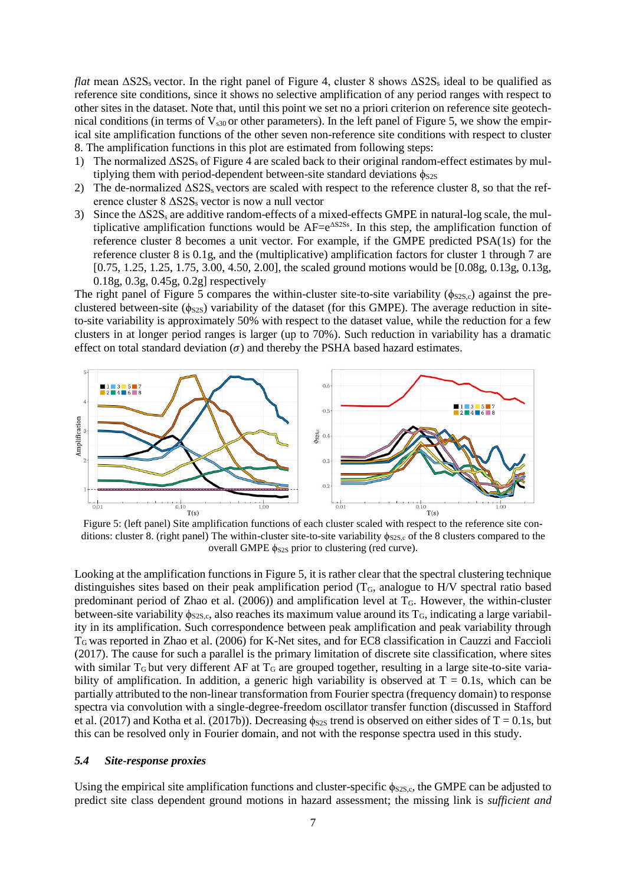*flat* mean  $\Delta$ S2S<sub>s</sub> vector. In the right panel of [Figure 4,](#page-5-0) cluster 8 shows  $\Delta$ S2S<sub>s</sub> ideal to be qualified as reference site conditions, since it shows no selective amplification of any period ranges with respect to other sites in the dataset. Note that, until this point we set no a priori criterion on reference site geotechnical conditions (in terms of  $V_{s30}$  or other parameters). In the left panel of [Figure 5,](#page-6-0) we show the empirical site amplification functions of the other seven non-reference site conditions with respect to cluster 8. The amplification functions in this plot are estimated from following steps:

- 1) The normalized ΔS2S<sup>s</sup> o[f Figure 4](#page-5-0) are scaled back to their original random-effect estimates by multiplying them with period-dependent between-site standard deviations  $\phi_{S2S}$
- 2) The de-normalized  $\Delta S2S<sub>s</sub>$  vectors are scaled with respect to the reference cluster 8, so that the reference cluster  $8 \triangle S2S<sub>s</sub>$  vector is now a null vector
- 3) Since the ΔS2S<sup>s</sup> are additive random-effects of a mixed-effects GMPE in natural-log scale, the multiplicative amplification functions would be  $AF=e^{AS2S_3}$ . In this step, the amplification function of reference cluster 8 becomes a unit vector. For example, if the GMPE predicted PSA(1s) for the reference cluster 8 is 0.1g, and the (multiplicative) amplification factors for cluster 1 through 7 are [0.75, 1.25, 1.25, 1.75, 3.00, 4.50, 2.00], the scaled ground motions would be [0.08g, 0.13g, 0.13g, 0.18g, 0.3g, 0.45g, 0.2g] respectively

The right panel of [Figure 5](#page-6-0) compares the within-cluster site-to-site variability ( $\phi_{S2S,c}$ ) against the preclustered between-site ( $\phi$ <sub>S2S</sub>) variability of the dataset (for this GMPE). The average reduction in siteto-site variability is approximately 50% with respect to the dataset value, while the reduction for a few clusters in at longer period ranges is larger (up to 70%). Such reduction in variability has a dramatic effect on total standard deviation  $(\sigma)$  and thereby the PSHA based hazard estimates.



<span id="page-6-0"></span>ditions: cluster 8. (right panel) The within-cluster site-to-site variability  $\phi_{S2S,c}$  of the 8 clusters compared to the overall GMPE  $\phi_{S2S}$  prior to clustering (red curve).

Looking at the amplification functions i[n Figure 5,](#page-6-0) it is rather clear that the spectral clustering technique distinguishes sites based on their peak amplification period (T<sub>G</sub>, analogue to H/V spectral ratio based predominant period of Zhao et al. (2006)) and amplification level at  $T<sub>G</sub>$ . However, the within-cluster between-site variability  $\phi_{S2S,c}$ , also reaches its maximum value around its T<sub>G</sub>, indicating a large variability in its amplification. Such correspondence between peak amplification and peak variability through TG was reported in Zhao et al. (2006) for K-Net sites, and for EC8 classification in Cauzzi and Faccioli (2017). The cause for such a parallel is the primary limitation of discrete site classification, where sites with similar  $T_G$  but very different AF at  $T_G$  are grouped together, resulting in a large site-to-site variability of amplification. In addition, a generic high variability is observed at  $T = 0.1$ s, which can be partially attributed to the non-linear transformation from Fourier spectra (frequency domain) to response spectra via convolution with a single-degree-freedom oscillator transfer function (discussed in Stafford et al. (2017) and Kotha et al. (2017b)). Decreasing  $\phi_{S2S}$  trend is observed on either sides of T = 0.1s, but this can be resolved only in Fourier domain, and not with the response spectra used in this study.

#### *5.4 Site-response proxies*

Using the empirical site amplification functions and cluster-specific  $\phi_{S2S,c}$ , the GMPE can be adjusted to predict site class dependent ground motions in hazard assessment; the missing link is *sufficient and*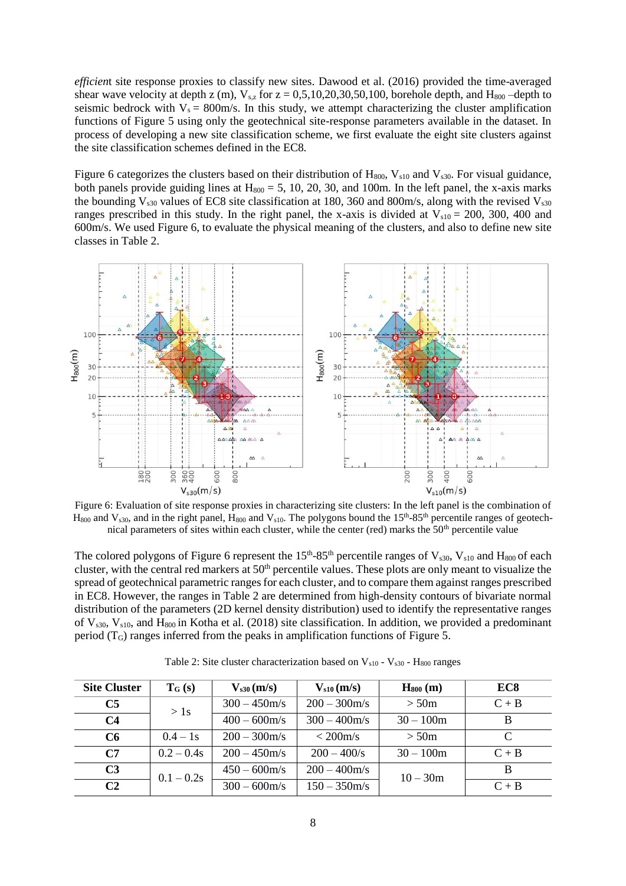*efficien*t site response proxies to classify new sites. Dawood et al. (2016) provided the time-averaged shear wave velocity at depth z (m),  $V_{s,z}$  for  $z = 0.5, 10, 20, 30, 50, 100$ , borehole depth, and  $H_{800}$  –depth to seismic bedrock with  $V_s = 800$ m/s. In this study, we attempt characterizing the cluster amplification functions of [Figure 5](#page-6-0) using only the geotechnical site-response parameters available in the dataset. In process of developing a new site classification scheme, we first evaluate the eight site clusters against the site classification schemes defined in the EC8.

[Figure 6](#page-7-0) categorizes the clusters based on their distribution of  $H_{800}$ ,  $V_{s10}$  and  $V_{s30}$ . For visual guidance, both panels provide guiding lines at  $H_{800} = 5$ , 10, 20, 30, and 100m. In the left panel, the x-axis marks the bounding  $V_{s30}$  values of EC8 site classification at 180, 360 and 800m/s, along with the revised  $V_{s30}$ ranges prescribed in this study. In the right panel, the x-axis is divided at  $V_{s10} = 200$ , 300, 400 and 600m/s. We used [Figure 6,](#page-7-0) to evaluate the physical meaning of the clusters, and also to define new site classes in [Table 2.](#page-7-1)



<span id="page-7-0"></span>Figure 6: Evaluation of site response proxies in characterizing site clusters: In the left panel is the combination of  $H_{800}$  and  $V_{s30}$ , and in the right panel,  $H_{800}$  and  $V_{s10}$ . The polygons bound the 15<sup>th</sup>-85<sup>th</sup> percentile ranges of geotechnical parameters of sites within each cluster, while the center (red) marks the 50<sup>th</sup> percentile value

The colored polygons of [Figure 6](#page-7-0) represent the  $15<sup>th</sup>$ -85<sup>th</sup> percentile ranges of  $V_{s30}$ ,  $V_{s10}$  and  $H_{800}$  of each cluster, with the central red markers at 50<sup>th</sup> percentile values. These plots are only meant to visualize the spread of geotechnical parametric ranges for each cluster, and to compare them against ranges prescribed in EC8. However, the ranges in [Table 2](#page-7-1) are determined from high-density contours of bivariate normal distribution of the parameters (2D kernel density distribution) used to identify the representative ranges of  $V_{s30}$ ,  $V_{s10}$ , and  $H_{800}$  in Kotha et al. (2018) site classification. In addition, we provided a predominant period (TG) ranges inferred from the peaks in amplification functions of [Figure 5.](#page-6-0)

<span id="page-7-1"></span>

| <b>Site Cluster</b> | $T_G(s)$     | $V_{s30}$ (m/s) | $V_{s10}$ (m/s) | $H_{800}$ (m) | EC <sub>8</sub> |
|---------------------|--------------|-----------------|-----------------|---------------|-----------------|
| C <sub>5</sub>      | > 1s         | $300 - 450$ m/s | $200 - 300$ m/s | > 50m         | $C + B$         |
| C <sub>4</sub>      |              | $400 - 600$ m/s | $300 - 400$ m/s | $30 - 100m$   | B               |
| C6                  | $0.4 - 1s$   | $200 - 300$ m/s | $<$ 200 m/s     | > 50m         | C               |
| C <sub>7</sub>      | $0.2 - 0.4s$ | $200 - 450$ m/s | $200 - 400$ /s  | $30 - 100m$   | $C + B$         |
| C <sub>3</sub>      | $0.1 - 0.2s$ | $450 - 600$ m/s | $200 - 400$ m/s | $10 - 30m$    | B               |
| C <sub>2</sub>      |              | $300 - 600$ m/s | $150 - 350$ m/s |               | $C + B$         |

Table 2: Site cluster characterization based on  $V_{s10}$  -  $V_{s30}$  -  $H_{800}$  ranges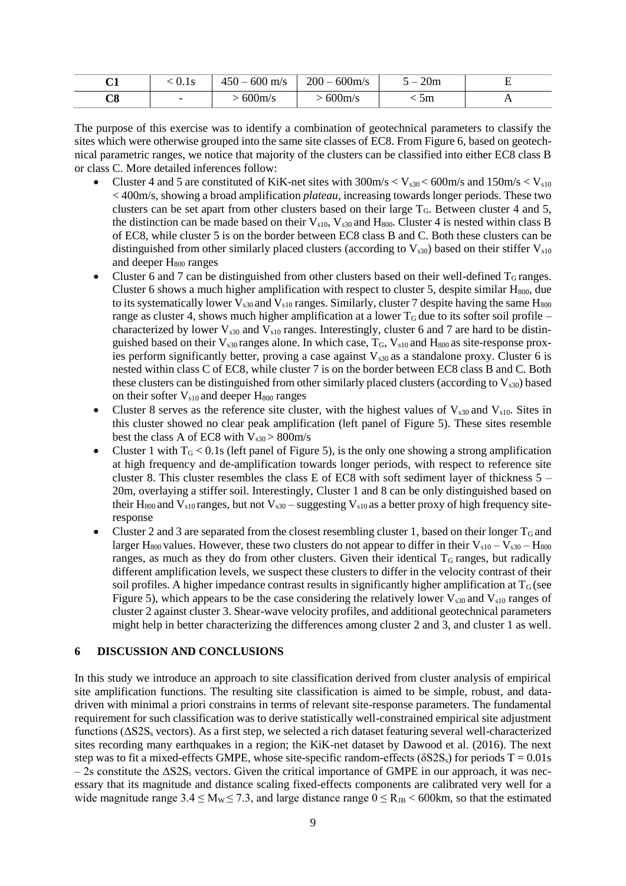| r1<br>◡▴ | V.IS                     | $-600 \text{ m/s}$<br>$450 - 4$ | $200 - 600$ m/s | 20m | . . |
|----------|--------------------------|---------------------------------|-----------------|-----|-----|
| C8       | $\overline{\phantom{0}}$ | 600m/s                          | 600m/s          | 5m  | . . |

The purpose of this exercise was to identify a combination of geotechnical parameters to classify the sites which were otherwise grouped into the same site classes of EC8. Fro[m Figure 6,](#page-7-0) based on geotechnical parametric ranges, we notice that majority of the clusters can be classified into either EC8 class B or class C. More detailed inferences follow:

- Cluster 4 and 5 are constituted of KiK-net sites with  $300 \text{m/s} < V_{s30} < 600 \text{m/s}$  and  $150 \text{m/s} < V_{s10}$ < 400m/s, showing a broad amplification *plateau*, increasing towards longer periods. These two clusters can be set apart from other clusters based on their large  $T<sub>G</sub>$ . Between cluster 4 and 5, the distinction can be made based on their  $V_{s10}$ ,  $V_{s30}$  and  $H_{800}$ . Cluster 4 is nested within class B of EC8, while cluster 5 is on the border between EC8 class B and C. Both these clusters can be distinguished from other similarly placed clusters (according to  $V_{\rm s30}$ ) based on their stiffer  $V_{\rm s10}$ and deeper H<sub>800</sub> ranges
- Cluster 6 and 7 can be distinguished from other clusters based on their well-defined  $T<sub>G</sub>$  ranges. Cluster 6 shows a much higher amplification with respect to cluster 5, despite similar  $H_{800}$ , due to its systematically lower  $V_{s30}$  and  $V_{s10}$  ranges. Similarly, cluster 7 despite having the same  $H_{800}$ range as cluster 4, shows much higher amplification at a lower  $T_G$  due to its softer soil profile – characterized by lower  $V_{s30}$  and  $V_{s10}$  ranges. Interestingly, cluster 6 and 7 are hard to be distinguished based on their  $V_{s30}$  ranges alone. In which case,  $T_G$ ,  $V_{s10}$  and  $H_{800}$  as site-response proxies perform significantly better, proving a case against  $V_{s30}$  as a standalone proxy. Cluster 6 is nested within class C of EC8, while cluster 7 is on the border between EC8 class B and C. Both these clusters can be distinguished from other similarly placed clusters (according to  $V_{s30}$ ) based on their softer  $V<sub>s10</sub>$  and deeper  $H<sub>800</sub>$  ranges
- Cluster 8 serves as the reference site cluster, with the highest values of  $V_{s30}$  and  $V_{s10}$ . Sites in this cluster showed no clear peak amplification (left panel of [Figure 5\)](#page-6-0). These sites resemble best the class A of EC8 with  $V_{s30} > 800$  m/s
- Cluster 1 with  $T_G < 0.1$ s (left panel of [Figure 5\)](#page-6-0), is the only one showing a strong amplification at high frequency and de-amplification towards longer periods, with respect to reference site cluster 8. This cluster resembles the class E of EC8 with soft sediment layer of thickness 5 – 20m, overlaying a stiffer soil. Interestingly, Cluster 1 and 8 can be only distinguished based on their H<sub>800</sub> and V<sub>s10</sub> ranges, but not V<sub>s30</sub> – suggesting V<sub>s10</sub> as a better proxy of high frequency siteresponse
- Cluster 2 and 3 are separated from the closest resembling cluster 1, based on their longer  $T_G$  and larger H<sub>800</sub> values. However, these two clusters do not appear to differ in their  $V_{s10} - V_{s30} - H_{800}$ ranges, as much as they do from other clusters. Given their identical  $T_G$  ranges, but radically different amplification levels, we suspect these clusters to differ in the velocity contrast of their soil profiles. A higher impedance contrast results in significantly higher amplification at  $T<sub>G</sub>$  (see [Figure 5\)](#page-6-0), which appears to be the case considering the relatively lower  $V_{s30}$  and  $V_{s10}$  ranges of cluster 2 against cluster 3. Shear-wave velocity profiles, and additional geotechnical parameters might help in better characterizing the differences among cluster 2 and 3, and cluster 1 as well.

### **6 DISCUSSION AND CONCLUSIONS**

In this study we introduce an approach to site classification derived from cluster analysis of empirical site amplification functions. The resulting site classification is aimed to be simple, robust, and datadriven with minimal a priori constrains in terms of relevant site-response parameters. The fundamental requirement for such classification was to derive statistically well-constrained empirical site adjustment functions (ΔS2S<sup>s</sup> vectors). As a first step, we selected a rich dataset featuring several well-characterized sites recording many earthquakes in a region; the KiK-net dataset by Dawood et al. (2016). The next step was to fit a mixed-effects GMPE, whose site-specific random-effects ( $\delta$ S2S<sub>s</sub>) for periods T = 0.01s  $-2s$  constitute the  $\triangle S2S<sub>s</sub>$  vectors. Given the critical importance of GMPE in our approach, it was necessary that its magnitude and distance scaling fixed-effects components are calibrated very well for a wide magnitude range  $3.4 \le M_W \le 7.3$ , and large distance range  $0 \le R_{JB} < 600$ km, so that the estimated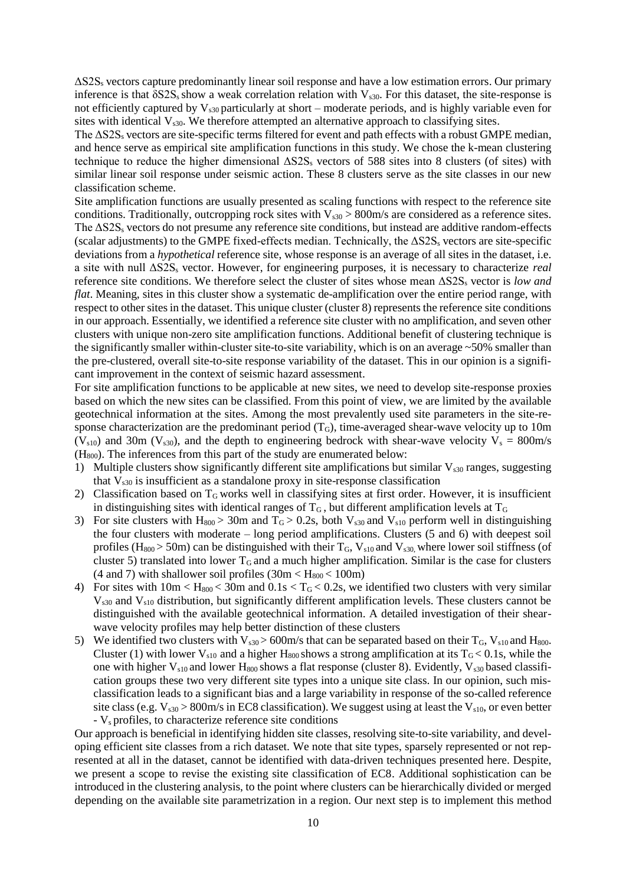ΔS2S<sup>s</sup> vectors capture predominantly linear soil response and have a low estimation errors. Our primary inference is that  $\delta$ S2S<sub>s</sub> show a weak correlation relation with V<sub>s30</sub>. For this dataset, the site-response is not efficiently captured by  $V_{s30}$  particularly at short – moderate periods, and is highly variable even for sites with identical  $V_{s30}$ . We therefore attempted an alternative approach to classifying sites.

The  $\Delta$ S2S<sub>s</sub> vectors are site-specific terms filtered for event and path effects with a robust GMPE median, and hence serve as empirical site amplification functions in this study. We chose the k-mean clustering technique to reduce the higher dimensional  $\Delta$ S2S<sub>s</sub> vectors of 588 sites into 8 clusters (of sites) with similar linear soil response under seismic action. These 8 clusters serve as the site classes in our new classification scheme.

Site amplification functions are usually presented as scaling functions with respect to the reference site conditions. Traditionally, outcropping rock sites with  $V_{s30} > 800$  m/s are considered as a reference sites. The  $\Delta$ S2S<sub>s</sub> vectors do not presume any reference site conditions, but instead are additive random-effects (scalar adjustments) to the GMPE fixed-effects median. Technically, the ΔS2S<sup>s</sup> vectors are site-specific deviations from a *hypothetical* reference site, whose response is an average of all sites in the dataset, i.e. a site with null ΔS2S<sup>s</sup> vector. However, for engineering purposes, it is necessary to characterize *real* reference site conditions. We therefore select the cluster of sites whose mean ΔS2S<sup>s</sup> vector is *low and flat*. Meaning, sites in this cluster show a systematic de-amplification over the entire period range, with respect to other sites in the dataset. This unique cluster (cluster 8) represents the reference site conditions in our approach. Essentially, we identified a reference site cluster with no amplification, and seven other clusters with unique non-zero site amplification functions. Additional benefit of clustering technique is the significantly smaller within-cluster site-to-site variability, which is on an average  $\sim$  50% smaller than the pre-clustered, overall site-to-site response variability of the dataset. This in our opinion is a significant improvement in the context of seismic hazard assessment.

For site amplification functions to be applicable at new sites, we need to develop site-response proxies based on which the new sites can be classified. From this point of view, we are limited by the available geotechnical information at the sites. Among the most prevalently used site parameters in the site-response characterization are the predominant period  $(T_G)$ , time-averaged shear-wave velocity up to 10m ( $V_{s10}$ ) and 30m ( $V_{s30}$ ), and the depth to engineering bedrock with shear-wave velocity  $V_s = 800$ m/s (H800). The inferences from this part of the study are enumerated below:

- 1) Multiple clusters show significantly different site amplifications but similar  $V_{s30}$  ranges, suggesting that  $V_{s30}$  is insufficient as a standalone proxy in site-response classification
- 2) Classification based on  $T<sub>G</sub>$  works well in classifying sites at first order. However, it is insufficient in distinguishing sites with identical ranges of  $T_G$ , but different amplification levels at  $T_G$
- 3) For site clusters with  $H_{800} > 30$ m and  $T_G > 0.2$ s, both  $V_{s30}$  and  $V_{s10}$  perform well in distinguishing the four clusters with moderate – long period amplifications. Clusters (5 and 6) with deepest soil profiles (H<sub>800</sub> > 50m) can be distinguished with their  $T_G$ ,  $V_{s10}$  and  $V_{s30}$ , where lower soil stiffness (of cluster 5) translated into lower  $T_G$  and a much higher amplification. Similar is the case for clusters (4 and 7) with shallower soil profiles  $(30m < H<sub>800</sub> < 100m)$
- 4) For sites with  $10m < H_{800} < 30m$  and  $0.1s < T_G < 0.2s$ , we identified two clusters with very similar  $V<sub>s30</sub>$  and  $V<sub>s10</sub>$  distribution, but significantly different amplification levels. These clusters cannot be distinguished with the available geotechnical information. A detailed investigation of their shearwave velocity profiles may help better distinction of these clusters
- 5) We identified two clusters with  $V_{s30} > 600$  m/s that can be separated based on their  $T_G$ ,  $V_{s10}$  and  $H_{800}$ . Cluster (1) with lower  $V_{s10}$  and a higher H<sub>800</sub> shows a strong amplification at its  $T_G < 0.1$ s, while the one with higher  $V_{s10}$  and lower H<sub>800</sub> shows a flat response (cluster 8). Evidently,  $V_{s30}$  based classification groups these two very different site types into a unique site class. In our opinion, such misclassification leads to a significant bias and a large variability in response of the so-called reference site class (e.g.  $V_{s30} > 800$ m/s in EC8 classification). We suggest using at least the  $V_{s10}$ , or even better - Vs profiles, to characterize reference site conditions

Our approach is beneficial in identifying hidden site classes, resolving site-to-site variability, and developing efficient site classes from a rich dataset. We note that site types, sparsely represented or not represented at all in the dataset, cannot be identified with data-driven techniques presented here. Despite, we present a scope to revise the existing site classification of EC8. Additional sophistication can be introduced in the clustering analysis, to the point where clusters can be hierarchically divided or merged depending on the available site parametrization in a region. Our next step is to implement this method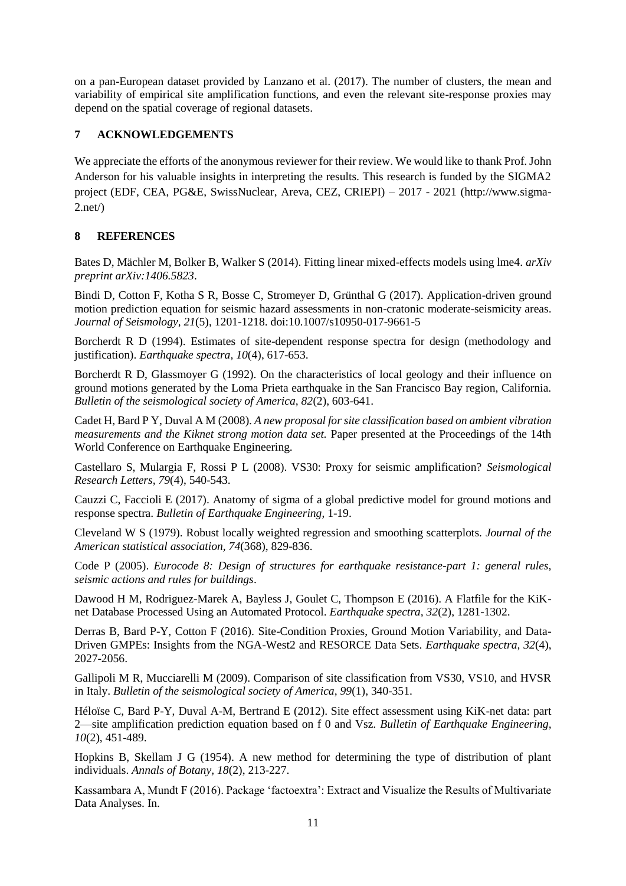on a pan-European dataset provided by Lanzano et al. (2017). The number of clusters, the mean and variability of empirical site amplification functions, and even the relevant site-response proxies may depend on the spatial coverage of regional datasets.

### **7 ACKNOWLEDGEMENTS**

We appreciate the efforts of the anonymous reviewer for their review. We would like to thank Prof. John Anderson for his valuable insights in interpreting the results. This research is funded by the SIGMA2 project (EDF, CEA, PG&E, SwissNuclear, Areva, CEZ, CRIEPI) – 2017 - 2021 (http://www.sigma- $2.net$ 

## **8 REFERENCES**

Bates D, Mächler M, Bolker B, Walker S (2014). Fitting linear mixed-effects models using lme4. *arXiv preprint arXiv:1406.5823*.

Bindi D, Cotton F, Kotha S R, Bosse C, Stromeyer D, Grünthal G (2017). Application-driven ground motion prediction equation for seismic hazard assessments in non-cratonic moderate-seismicity areas. *Journal of Seismology, 21*(5), 1201-1218. doi:10.1007/s10950-017-9661-5

Borcherdt R D (1994). Estimates of site-dependent response spectra for design (methodology and justification). *Earthquake spectra, 10*(4), 617-653.

Borcherdt R D, Glassmoyer G (1992). On the characteristics of local geology and their influence on ground motions generated by the Loma Prieta earthquake in the San Francisco Bay region, California. *Bulletin of the seismological society of America, 82*(2), 603-641.

Cadet H, Bard P Y, Duval A M (2008). *A new proposal for site classification based on ambient vibration measurements and the Kiknet strong motion data set.* Paper presented at the Proceedings of the 14th World Conference on Earthquake Engineering.

Castellaro S, Mulargia F, Rossi P L (2008). VS30: Proxy for seismic amplification? *Seismological Research Letters, 79*(4), 540-543.

Cauzzi C, Faccioli E (2017). Anatomy of sigma of a global predictive model for ground motions and response spectra. *Bulletin of Earthquake Engineering*, 1-19.

Cleveland W S (1979). Robust locally weighted regression and smoothing scatterplots. *Journal of the American statistical association, 74*(368), 829-836.

Code P (2005). *Eurocode 8: Design of structures for earthquake resistance-part 1: general rules, seismic actions and rules for buildings*.

Dawood H M, Rodriguez-Marek A, Bayless J, Goulet C, Thompson E (2016). A Flatfile for the KiKnet Database Processed Using an Automated Protocol. *Earthquake spectra, 32*(2), 1281-1302.

Derras B, Bard P-Y, Cotton F (2016). Site-Condition Proxies, Ground Motion Variability, and Data-Driven GMPEs: Insights from the NGA-West2 and RESORCE Data Sets. *Earthquake spectra, 32*(4), 2027-2056.

Gallipoli M R, Mucciarelli M (2009). Comparison of site classification from VS30, VS10, and HVSR in Italy. *Bulletin of the seismological society of America, 99*(1), 340-351.

Héloïse C, Bard P-Y, Duval A-M, Bertrand E (2012). Site effect assessment using KiK-net data: part 2—site amplification prediction equation based on f 0 and Vsz. *Bulletin of Earthquake Engineering, 10*(2), 451-489.

Hopkins B, Skellam J G (1954). A new method for determining the type of distribution of plant individuals. *Annals of Botany, 18*(2), 213-227.

Kassambara A, Mundt F (2016). Package 'factoextra': Extract and Visualize the Results of Multivariate Data Analyses. In.